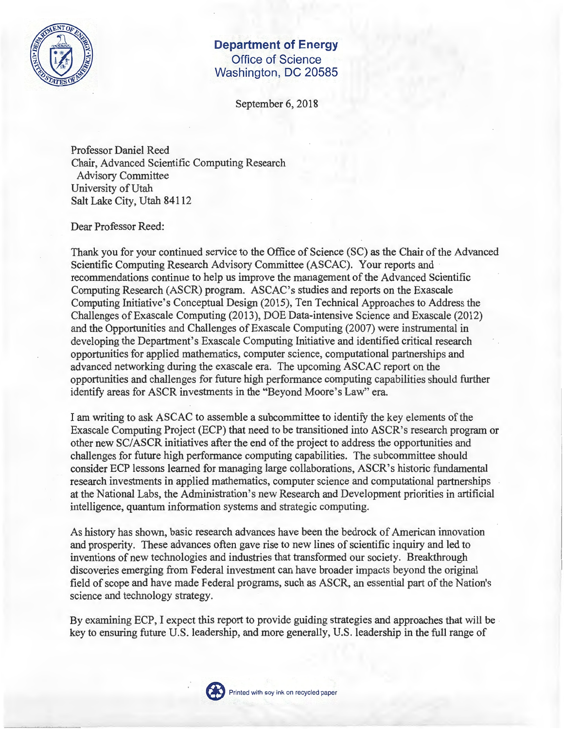

## **Department of Energy Office of Science Washington, DC 20585**

September 6, 2018

Professor Daniel Reed Chair, Advanced Scientific Computing Research Advisory Committee University of Utah Salt Lake City, Utah 84112

## Dear Professor Reed:

Thank you for your continued service to the Office of Science (SC) as the Chair of the Advanced Scientific Computing Research Advisory Committee (ASCAC). Your reports and recommendations continue to help us improve the management of the Advanced Scientific Computing Research (ASCR) program. ASCAC's studies and reports on the Exascale Computing Initiative's Conceptual Design (2015), Ten Technical Approaches to Address the Challenges ofExascale Computing (2013), DOE Data-intensive Science and Exascale (2012) and the Opportunities and Challenges of Exascale Computing (2007) were instrumental in developing the Department's Exascale Computing Initiative and identified critical research opportunities for applied mathematics, computer science, computational partnerships and advanced networking during the exascale era. The upcoming ASCAC report on the opportunities and challenges for future high performance computing capabilities should further identify areas for ASCR investments in the "Beyond Moore's Law" era.

I am writing to ask ASCAC to assemble a subcommittee to identify the key elements of the Exascale Computing Project (ECP) that need to be transitioned into ASCR's research program or other new SC/ASCR initiatives after the end ofthe project to address the opportunities and challenges for future high perfonnance computing capabilities. The subcommittee should consider ECP lessons learned for managing large collaborations, ASCR' s historic fundamental research investments in applied mathematics, computer science and computational partnerships at the National Labs, the Administration's new Research and Development priorities in artificial intelligence, quantum information systems and strategic computing.

As history has shown, basic research advances have been the bedrock of American innovation and prosperity. These advances often gave rise to new lines of scientific inquiry and led to inventions of new technologies and industries that transformed our society. Breakthrough discoveries emerging from Federal investment can have broader impacts beyond the original field of scope and have made Federal programs, such as ASCR, an essential part of the Nation's science and technology strategy.

By examining ECP, I expect this report to provide guiding strategies and approaches that will be key to ensuring future U.S. leadership, and more generally, U.S. leadership in the full range of